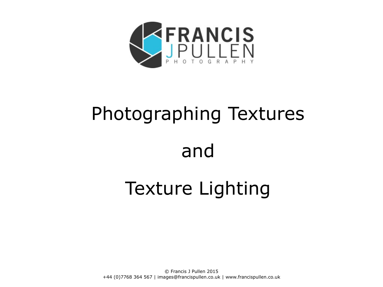

# Photographing Textures and

## Texture Lighting

© Francis J Pullen 2015 +44 (0)7768 364 567 | [images@francispullen.co.uk](mailto:images@francispullen.co.uk) | [www.francispullen.co.uk](http://www.francispullen.co.uk)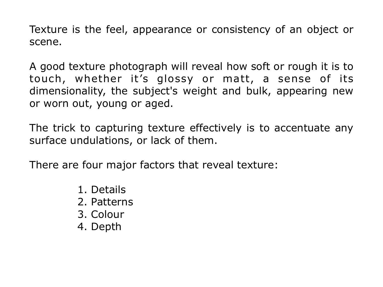Texture is the feel, appearance or consistency of an object or scene.

A good texture photograph will reveal how soft or rough it is to touch, whether it's glossy or matt, a sense of its dimensionality, the subject's weight and bulk, appearing new or worn out, young or aged.

The trick to capturing texture effectively is to accentuate any surface undulations, or lack of them.

There are four major factors that reveal texture:

- 1. Details
- 2. Patterns
- 3. Colour
- 4. Depth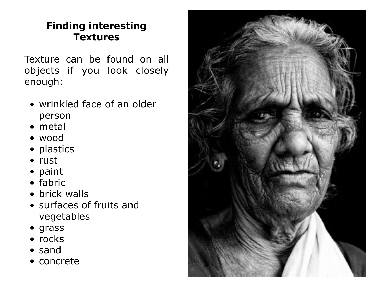#### **Finding interesting Textures**

Texture can be found on all objects if you look closely enough:

- wrinkled face of an older person
- metal
- wood
- plastics
- rust
- paint
- fabric
- brick walls
- surfaces of fruits and vegetables
- grass
- rocks
- sand
- concrete

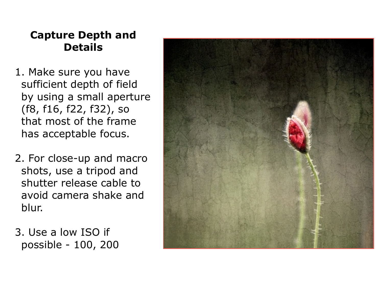#### **Capture Depth and Details**

- 1. Make sure you have sufficient depth of field by using a small aperture (f8, f16, f22, f32), so that most of the frame has acceptable focus.
- 2. For close-up and macro shots, use a tripod and shutter release cable to avoid camera shake and blur.

3. Use a low ISO if possible - 100, 200

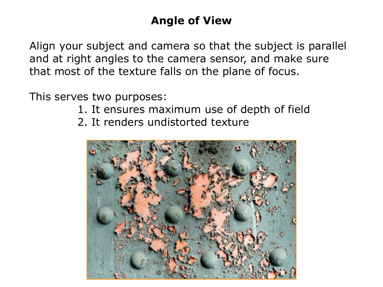#### **Angle of View**

Align your subject and camera so that the subject is parallel and at right angles to the camera sensor, and make sure that most of the texture falls on the plane of focus.

This serves two purposes:

- 1. It ensures maximum use of depth of field
- 2. It renders undistorted texture

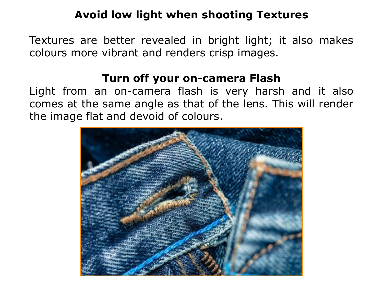#### **Avoid low light when shooting Textures**

Textures are better revealed in bright light; it also makes colours more vibrant and renders crisp images.

#### **Turn off your on-camera Flash**

Light from an on-camera flash is very harsh and it also comes at the same angle as that of the lens. This will render the image flat and devoid of colours.

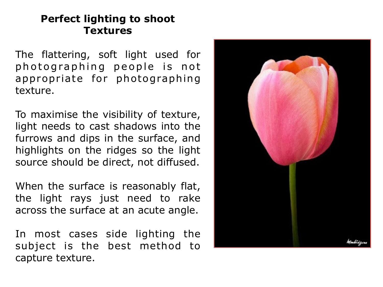#### **Perfect lighting to shoot Textures**

The flattering, soft light used for photographing people is not appropriate for photographing texture.

To maximise the visibility of texture, light needs to cast shadows into the furrows and dips in the surface, and highlights on the ridges so the light source should be direct, not diffused.

When the surface is reasonably flat, the light rays just need to rake across the surface at an acute angle.

In most cases side lighting the subject is the best method to capture texture.

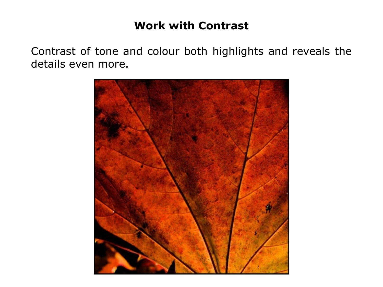#### **Work with Contrast**

Contrast of tone and colour both highlights and reveals the details even more.

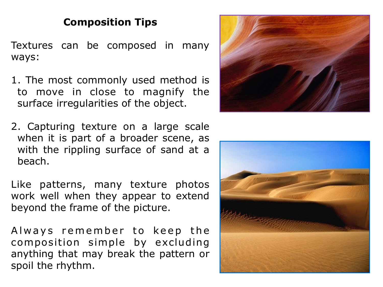#### **Composition Tips**

Textures can be composed in many ways:

- 1. The most commonly used method is to move in close to magnify the surface irregularities of the object.
- 2. Capturing texture on a large scale when it is part of a broader scene, as with the rippling surface of sand at a beach.

Like patterns, many texture photos work well when they appear to extend beyond the frame of the picture.

A l w a y s r e m e m b e r to k e e p th e composition simple by excluding anything that may break the pattern or spoil the rhythm.

![](_page_8_Picture_6.jpeg)

![](_page_8_Picture_7.jpeg)